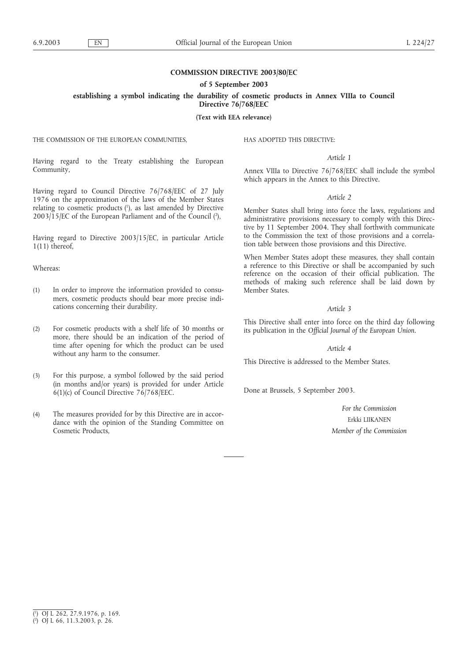# **COMMISSION DIRECTIVE 2003/80/EC**

**of 5 September 2003**

**establishing a symbol indicating the durability of cosmetic products in Annex VIIIa to Council**

**Directive 76/768/EEC**

**(Text with EEA relevance)**

THE COMMISSION OF THE EUROPEAN COMMUNITIES,

HAS ADOPTED THIS DIRECTIVE:

# *Article 1*

Annex VIIIa to Directive 76/768/EEC shall include the symbol which appears in the Annex to this Directive.

### *Article 2*

Member States shall bring into force the laws, regulations and administrative provisions necessary to comply with this Directive by 11 September 2004. They shall forthwith communicate to the Commission the text of those provisions and a correlation table between those provisions and this Directive.

When Member States adopt these measures, they shall contain a reference to this Directive or shall be accompanied by such reference on the occasion of their official publication. The methods of making such reference shall be laid down by Member States.

### *Article 3*

This Directive shall enter into force on the third day following its publication in the *Official Journal of the European Union*.

### *Article 4*

This Directive is addressed to the Member States.

Done at Brussels, 5 September 2003.

*For the Commission* Erkki LIIKANEN *Member of the Commission*

Having regard to the Treaty establishing the European Community,

Having regard to Council Directive 76/768/EEC of 27 July 1976 on the approximation of the laws of the Member States relating to cosmetic products (1), as last amended by Directive  $2003/15$ /EC of the European Parliament and of the Council  $(2)$ ,

Having regard to Directive 2003/15/EC, in particular Article 1(11) thereof,

Whereas:

- (1) In order to improve the information provided to consumers, cosmetic products should bear more precise indications concerning their durability.
- (2) For cosmetic products with a shelf life of 30 months or more, there should be an indication of the period of time after opening for which the product can be used without any harm to the consumer.
- (3) For this purpose, a symbol followed by the said period (in months and/or years) is provided for under Article 6(1)(c) of Council Directive  $76/768$ /EEC.
- (4) The measures provided for by this Directive are in accordance with the opinion of the Standing Committee on Cosmetic Products,

( 1 ) OJ L 262, 27.9.1976, p. 169.

<sup>(</sup> 2 ) OJ L 66, 11.3.2003, p. 26.